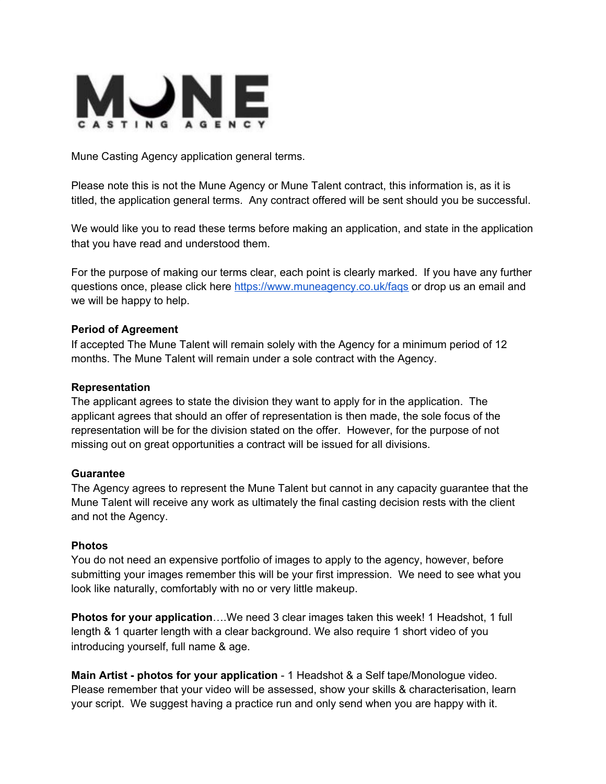

Mune Casting Agency application general terms.

Please note this is not the Mune Agency or Mune Talent contract, this information is, as it is titled, the application general terms. Any contract offered will be sent should you be successful.

We would like you to read these terms before making an application, and state in the application that you have read and understood them.

For the purpose of making our terms clear, each point is clearly marked. If you have any further questions once, please click here <https://www.muneagency.co.uk/faqs> or drop us an email and we will be happy to help.

### **Period of Agreement**

If accepted The Mune Talent will remain solely with the Agency for a minimum period of 12 months. The Mune Talent will remain under a sole contract with the Agency.

#### **Representation**

The applicant agrees to state the division they want to apply for in the application. The applicant agrees that should an offer of representation is then made, the sole focus of the representation will be for the division stated on the offer. However, for the purpose of not missing out on great opportunities a contract will be issued for all divisions.

#### **Guarantee**

The Agency agrees to represent the Mune Talent but cannot in any capacity guarantee that the Mune Talent will receive any work as ultimately the final casting decision rests with the client and not the Agency.

#### **Photos**

You do not need an expensive portfolio of images to apply to the agency, however, before submitting your images remember this will be your first impression. We need to see what you look like naturally, comfortably with no or very little makeup.

**Photos for your application**….We need 3 clear images taken this week! 1 Headshot, 1 full length & 1 quarter length with a clear background. We also require 1 short video of you introducing yourself, full name & age.

**Main Artist - photos for your application** - 1 Headshot & a Self tape/Monologue video. Please remember that your video will be assessed, show your skills & characterisation, learn your script. We suggest having a practice run and only send when you are happy with it.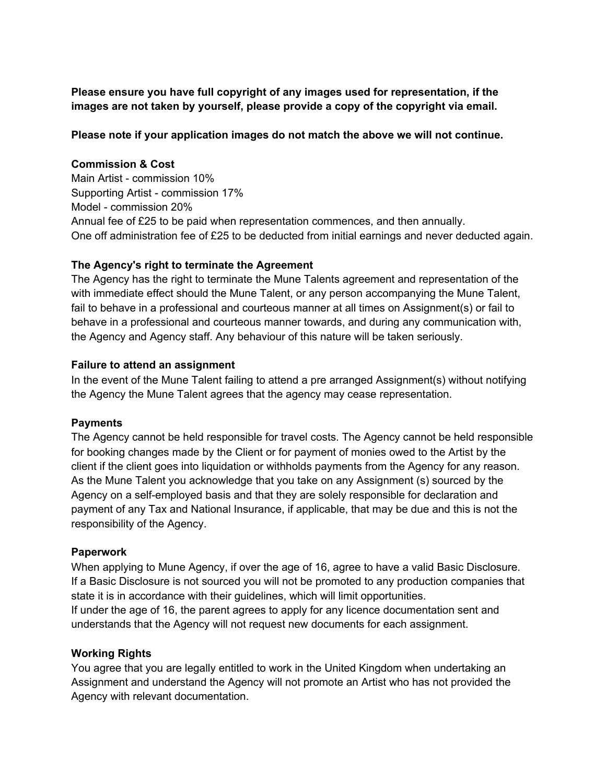**Please ensure you have full copyright of any images used for representation, if the images are not taken by yourself, please provide a copy of the copyright via email.**

## **Please note if your application images do not match the above we will not continue.**

## **Commission & Cost**

Main Artist - commission 10% Supporting Artist - commission 17% Model - commission 20% Annual fee of £25 to be paid when representation commences, and then annually. One off administration fee of £25 to be deducted from initial earnings and never deducted again.

## **The Agency's right to terminate the Agreement**

The Agency has the right to terminate the Mune Talents agreement and representation of the with immediate effect should the Mune Talent, or any person accompanying the Mune Talent, fail to behave in a professional and courteous manner at all times on Assignment(s) or fail to behave in a professional and courteous manner towards, and during any communication with, the Agency and Agency staff. Any behaviour of this nature will be taken seriously.

### **Failure to attend an assignment**

In the event of the Mune Talent failing to attend a pre arranged Assignment(s) without notifying the Agency the Mune Talent agrees that the agency may cease representation.

## **Payments**

The Agency cannot be held responsible for travel costs. The Agency cannot be held responsible for booking changes made by the Client or for payment of monies owed to the Artist by the client if the client goes into liquidation or withholds payments from the Agency for any reason. As the Mune Talent you acknowledge that you take on any Assignment (s) sourced by the Agency on a self-employed basis and that they are solely responsible for declaration and payment of any Tax and National Insurance, if applicable, that may be due and this is not the responsibility of the Agency.

#### **Paperwork**

When applying to Mune Agency, if over the age of 16, agree to have a valid Basic Disclosure. If a Basic Disclosure is not sourced you will not be promoted to any production companies that state it is in accordance with their guidelines, which will limit opportunities.

If under the age of 16, the parent agrees to apply for any licence documentation sent and understands that the Agency will not request new documents for each assignment.

## **Working Rights**

You agree that you are legally entitled to work in the United Kingdom when undertaking an Assignment and understand the Agency will not promote an Artist who has not provided the Agency with relevant documentation.